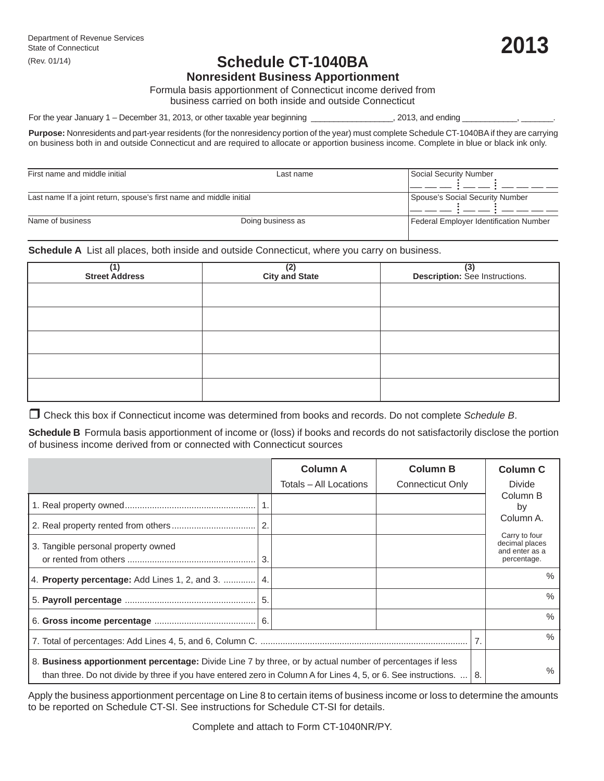# **Schedule CT-1040BA**

**Nonresident Business Apportionment**

Formula basis apportionment of Connecticut income derived from business carried on both inside and outside Connecticut

For the year January 1 – December 31, 2013, or other taxable year beginning \_\_\_\_\_\_\_\_\_\_\_\_\_\_\_\_\_, 2013, and ending

**Purpose:** Nonresidents and part-year residents (for the nonresidency portion of the year) must complete Schedule CT-1040BA if they are carrying on business both in and outside Connecticut and are required to allocate or apportion business income. Complete in blue or black ink only.

| First name and middle initial                                       | Last name                       | Social Security Number                 |
|---------------------------------------------------------------------|---------------------------------|----------------------------------------|
|                                                                     |                                 |                                        |
|                                                                     |                                 |                                        |
|                                                                     |                                 |                                        |
| Last name If a joint return, spouse's first name and middle initial | Spouse's Social Security Number |                                        |
|                                                                     |                                 |                                        |
|                                                                     |                                 |                                        |
| Name of business                                                    | Doing business as               | Federal Employer Identification Number |
|                                                                     |                                 |                                        |
|                                                                     |                                 |                                        |

**Schedule A** List all places, both inside and outside Connecticut, where you carry on business.

| (1)<br>Street Address | (2)<br>City and State | (3)<br>Description: See Instructions. |  |  |  |
|-----------------------|-----------------------|---------------------------------------|--|--|--|
|                       |                       |                                       |  |  |  |
|                       |                       |                                       |  |  |  |
|                       |                       |                                       |  |  |  |
|                       |                       |                                       |  |  |  |
|                       |                       |                                       |  |  |  |

Check this box if Connecticut income was determined from books and records. Do not complete *Schedule B*.

**Schedule B** Formula basis apportionment of income or (loss) if books and records do not satisfactorily disclose the portion of business income derived from or connected with Connecticut sources

|                                                                                                                                                                                                                                   |    | <b>Column A</b><br>Totals - All Locations | <b>Column B</b><br><b>Connecticut Only</b> |  | <b>Column C</b><br><b>Divide</b>                                              |  |
|-----------------------------------------------------------------------------------------------------------------------------------------------------------------------------------------------------------------------------------|----|-------------------------------------------|--------------------------------------------|--|-------------------------------------------------------------------------------|--|
|                                                                                                                                                                                                                                   |    |                                           |                                            |  | Column B<br>by                                                                |  |
|                                                                                                                                                                                                                                   |    |                                           |                                            |  | Column A.<br>Carry to four<br>decimal places<br>and enter as a<br>percentage. |  |
| 3. Tangible personal property owned                                                                                                                                                                                               | 3. |                                           |                                            |  |                                                                               |  |
| 4. Property percentage: Add Lines 1, 2, and 3.  4.                                                                                                                                                                                |    |                                           |                                            |  | $\frac{0}{0}$                                                                 |  |
|                                                                                                                                                                                                                                   | 5. |                                           |                                            |  | $\%$                                                                          |  |
|                                                                                                                                                                                                                                   |    |                                           |                                            |  | $\%$                                                                          |  |
|                                                                                                                                                                                                                                   |    |                                           |                                            |  | $\%$                                                                          |  |
| 8. Business apportionment percentage: Divide Line 7 by three, or by actual number of percentages if less<br>than three. Do not divide by three if you have entered zero in Column A for Lines 4, 5, or 6. See instructions.<br>8. |    |                                           |                                            |  | ℅                                                                             |  |

Apply the business apportionment percentage on Line 8 to certain items of business income or loss to determine the amounts to be reported on Schedule CT-SI. See instructions for Schedule CT-SI for details.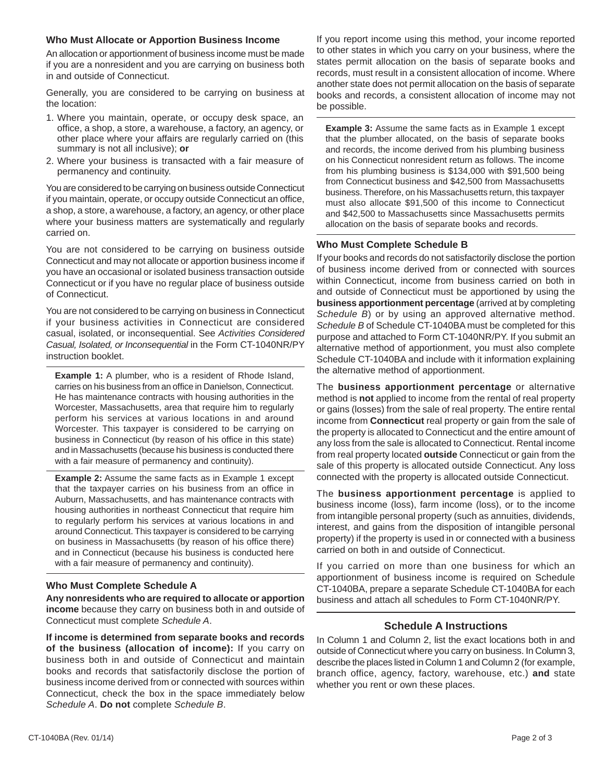#### **Who Must Allocate or Apportion Business Income**

An allocation or apportionment of business income must be made if you are a nonresident and you are carrying on business both in and outside of Connecticut.

Generally, you are considered to be carrying on business at the location:

- 1. Where you maintain, operate, or occupy desk space, an office, a shop, a store, a warehouse, a factory, an agency, or other place where your affairs are regularly carried on (this summary is not all inclusive); **or**
- 2. Where your business is transacted with a fair measure of permanency and continuity.

You are considered to be carrying on business outside Connecticut if you maintain, operate, or occupy outside Connecticut an office, a shop, a store, a warehouse, a factory, an agency, or other place where your business matters are systematically and regularly carried on.

You are not considered to be carrying on business outside Connecticut and may not allocate or apportion business income if you have an occasional or isolated business transaction outside Connecticut or if you have no regular place of business outside of Connecticut.

You are not considered to be carrying on business in Connecticut if your business activities in Connecticut are considered casual, isolated, or inconsequential. See *Activities Considered Casual, Isolated, or Inconsequential* in the Form CT-1040NR/PY instruction booklet.

**Example 1:** A plumber, who is a resident of Rhode Island, carries on his business from an office in Danielson, Connecticut. He has maintenance contracts with housing authorities in the Worcester, Massachusetts, area that require him to regularly perform his services at various locations in and around Worcester. This taxpayer is considered to be carrying on business in Connecticut (by reason of his office in this state) and in Massachusetts (because his business is conducted there with a fair measure of permanency and continuity).

**Example 2:** Assume the same facts as in Example 1 except that the taxpayer carries on his business from an office in Auburn, Massachusetts, and has maintenance contracts with housing authorities in northeast Connecticut that require him to regularly perform his services at various locations in and around Connecticut. This taxpayer is considered to be carrying on business in Massachusetts (by reason of his office there) and in Connecticut (because his business is conducted here with a fair measure of permanency and continuity).

# **Who Must Complete Schedule A**

**Any nonresidents who are required to allocate or apportion income** because they carry on business both in and outside of Connecticut must complete *Schedule A*.

**If income is determined from separate books and records of the business (allocation of income):** If you carry on business both in and outside of Connecticut and maintain books and records that satisfactorily disclose the portion of business income derived from or connected with sources within Connecticut, check the box in the space immediately below *Schedule A*. **Do not** complete *Schedule B*.

If you report income using this method, your income reported to other states in which you carry on your business, where the states permit allocation on the basis of separate books and records, must result in a consistent allocation of income. Where another state does not permit allocation on the basis of separate books and records, a consistent allocation of income may not be possible.

**Example 3:** Assume the same facts as in Example 1 except that the plumber allocated, on the basis of separate books and records, the income derived from his plumbing business on his Connecticut nonresident return as follows. The income from his plumbing business is \$134,000 with \$91,500 being from Connecticut business and \$42,500 from Massachusetts business. Therefore, on his Massachusetts return, this taxpayer must also allocate \$91,500 of this income to Connecticut and \$42,500 to Massachusetts since Massachusetts permits allocation on the basis of separate books and records.

## **Who Must Complete Schedule B**

If your books and records do not satisfactorily disclose the portion of business income derived from or connected with sources within Connecticut, income from business carried on both in and outside of Connecticut must be apportioned by using the **business apportionment percentage** (arrived at by completing *Schedule B*) or by using an approved alternative method. *Schedule B* of Schedule CT-1040BA must be completed for this purpose and attached to Form CT-1040NR/PY. If you submit an alternative method of apportionment, you must also complete Schedule CT-1040BA and include with it information explaining the alternative method of apportionment.

The **business apportionment percentage** or alternative method is **not** applied to income from the rental of real property or gains (losses) from the sale of real property. The entire rental income from **Connecticut** real property or gain from the sale of the property is allocated to Connecticut and the entire amount of any loss from the sale is allocated to Connecticut. Rental income from real property located **outside** Connecticut or gain from the sale of this property is allocated outside Connecticut. Any loss connected with the property is allocated outside Connecticut.

The **business apportionment percentage** is applied to business income (loss), farm income (loss), or to the income from intangible personal property (such as annuities, dividends, interest, and gains from the disposition of intangible personal property) if the property is used in or connected with a business carried on both in and outside of Connecticut.

If you carried on more than one business for which an apportionment of business income is required on Schedule CT-1040BA, prepare a separate Schedule CT-1040BA for each business and attach all schedules to Form CT-1040NR/PY.

## **Schedule A Instructions**

In Column 1 and Column 2, list the exact locations both in and outside of Connecticut where you carry on business. In Column 3, describe the places listed in Column 1 and Column 2 (for example, branch office, agency, factory, warehouse, etc.) **and** state whether you rent or own these places.